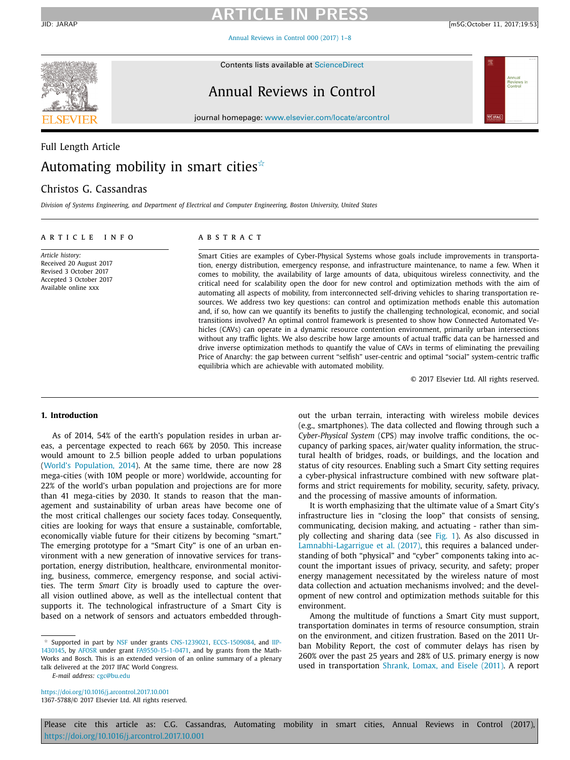Annual [Reviews](https://doi.org/10.1016/j.arcontrol.2017.10.001) in Control 000 (2017) 1–8

JID: JARAP [m5G;October 11, 2017;19:53]



Contents lists available at [ScienceDirect](http://www.ScienceDirect.com)

### Annual Reviews in Control



journal homepage: [www.elsevier.com/locate/arcontrol](http://www.elsevier.com/locate/arcontrol)

### Full Length Article Automating mobility in smart cities ${}^{\scriptscriptstyle \star}$

### Christos G. Cassandras

Division of Systems Engineering, and Department of Electrical and Computer Engineering, Boston University, United States

#### a r t i c l e i n f o

*Article history:* Received 20 August 2017 Revised 3 October 2017 Accepted 3 October 2017 Available online xxx

### A B S T R A C T

Smart Cities are examples of Cyber-Physical Systems whose goals include improvements in transportation, energy distribution, emergency response, and infrastructure maintenance, to name a few. When it comes to mobility, the availability of large amounts of data, ubiquitous wireless connectivity, and the critical need for scalability open the door for new control and optimization methods with the aim of automating all aspects of mobility, from interconnected self-driving vehicles to sharing transportation resources. We address two key questions: can control and optimization methods enable this automation and, if so, how can we quantify its benefits to justify the challenging technological, economic, and social transitions involved? An optimal control framework is presented to show how Connected Automated Vehicles (CAVs) can operate in a dynamic resource contention environment, primarily urban intersections without any traffic lights. We also describe how large amounts of actual traffic data can be harnessed and drive inverse optimization methods to quantify the value of CAVs in terms of eliminating the prevailing Price of Anarchy: the gap between current "selfish" user-centric and optimal "social" system-centric traffic equilibria which are achievable with automated mobility.

© 2017 Elsevier Ltd. All rights reserved.

### **1. Introduction**

As of 2014, 54% of the earth's population resides in urban areas, a percentage expected to reach 66% by 2050. This increase would amount to 2.5 billion people added to urban populations (World's [Population,](#page-7-0) 2014). At the same time, there are now 28 mega-cities (with 10M people or more) worldwide, accounting for 22% of the world's urban population and projections are for more than 41 mega-cities by 2030. It stands to reason that the management and sustainability of urban areas have become one of the most critical challenges our society faces today. Consequently, cities are looking for ways that ensure a sustainable, comfortable, economically viable future for their citizens by becoming "smart." The emerging prototype for a "Smart City" is one of an urban environment with a new generation of innovative services for transportation, energy distribution, healthcare, environmental monitoring, business, commerce, emergency response, and social activities. The term *Smart City* is broadly used to capture the overall vision outlined above, as well as the intellectual content that supports it. The technological infrastructure of a Smart City is based on a network of sensors and actuators embedded through-

*E-mail address:* [cgc@bu.edu](mailto:cgc@bu.edu)

<https://doi.org/10.1016/j.arcontrol.2017.10.001> 1367-5788/© 2017 Elsevier Ltd. All rights reserved. out the urban terrain, interacting with wireless mobile devices (e.g., smartphones). The data collected and flowing through such a *Cyber-Physical System* (CPS) may involve traffic conditions, the occupancy of parking spaces, air/water quality information, the structural health of bridges, roads, or buildings, and the location and status of city resources. Enabling such a Smart City setting requires a cyber-physical infrastructure combined with new software platforms and strict requirements for mobility, security, safety, privacy, and the processing of massive amounts of information.

It is worth emphasizing that the ultimate value of a Smart City's infrastructure lies in "closing the loop" that consists of sensing, communicating, decision making, and actuating - rather than simply collecting and sharing data (see [Fig.](#page-1-0) 1). As also discussed in [Lamnabhi-Lagarrigue](#page-6-0) et al. (2017), this requires a balanced understanding of both "physical" and "cyber" components taking into account the important issues of privacy, security, and safety; proper energy management necessitated by the wireless nature of most data collection and actuation mechanisms involved; and the development of new control and optimization methods suitable for this environment.

Among the multitude of functions a Smart City must support, transportation dominates in terms of resource consumption, strain on the environment, and citizen frustration. Based on the 2011 Urban Mobility Report, the cost of commuter delays has risen by 260% over the past 25 years and 28% of U.S. primary energy is now used in transportation [Shrank,](#page-6-0) Lomax, and Eisele (2011). A report

 $*$  Supported in part by [NSF](https://doi.org/10.13039/100000001) under grants CNS-1239021, ECCS-1509084, and IIP-1430145, by [AFOSR](https://doi.org/10.13039/100000181) under grant FA9550-15-1-0471, and by grants from the Math-Works and Bosch. This is an extended version of an online summary of a plenary talk delivered at the 2017 IFAC World Congress.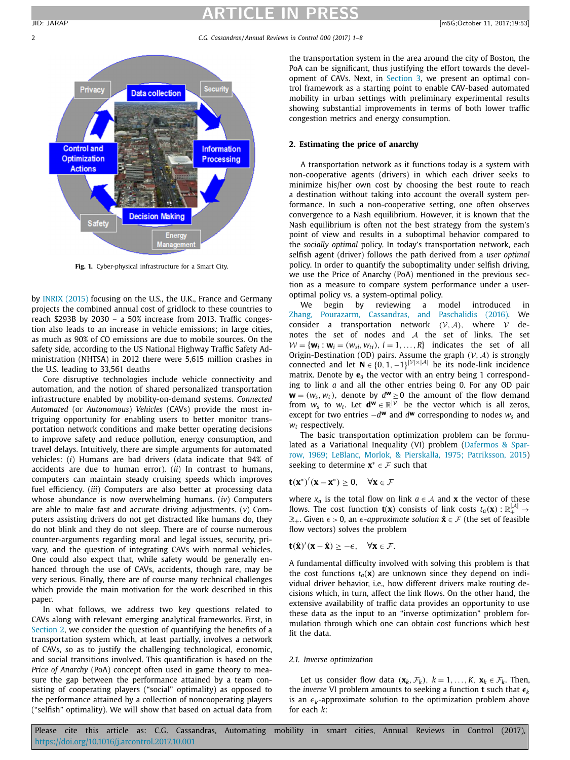<span id="page-1-0"></span>2 *C.G. Cassandras / Annual Reviews in Control 000 (2017) 1–8*



**Fig. 1.** Cyber-physical infrastructure for a Smart City.

by INRIX [\(2015\)](#page-6-0) focusing on the U.S., the U.K., France and Germany projects the combined annual cost of gridlock to these countries to reach \$293B by 2030 – a 50% increase from 2013. Traffic congestion also leads to an increase in vehicle emissions; in large cities, as much as 90% of CO emissions are due to mobile sources. On the safety side, according to the US National Highway Traffic Safety Administration (NHTSA) in 2012 there were 5,615 million crashes in the U.S. leading to 33,561 deaths

Core disruptive technologies include vehicle connectivity and automation, and the notion of shared personalized transportation infrastructure enabled by mobility-on-demand systems. *Connected Automated* (or *Autonomous*) *Vehicles* (CAVs) provide the most intriguing opportunity for enabling users to better monitor transportation network conditions and make better operating decisions to improve safety and reduce pollution, energy consumption, and travel delays. Intuitively, there are simple arguments for automated vehicles: (*i*) Humans are bad drivers (data indicate that 94% of accidents are due to human error). (*ii*) In contrast to humans, computers can maintain steady cruising speeds which improves fuel efficiency. (*iii*) Computers are also better at processing data whose abundance is now overwhelming humans. (*iv*) Computers are able to make fast and accurate driving adjustments. (*v*) Computers assisting drivers do not get distracted like humans do, they do not blink and they do not sleep. There are of course numerous counter-arguments regarding moral and legal issues, security, privacy, and the question of integrating CAVs with normal vehicles. One could also expect that, while safety would be generally enhanced through the use of CAVs, accidents, though rare, may be very serious. Finally, there are of course many technical challenges which provide the main motivation for the work described in this paper.

In what follows, we address two key questions related to CAVs along with relevant emerging analytical frameworks. First, in Section 2, we consider the question of quantifying the benefits of a transportation system which, at least partially, involves a network of CAVs, so as to justify the challenging technological, economic, and social transitions involved. This quantification is based on the *Price of Anarchy* (PoA) concept often used in game theory to measure the gap between the performance attained by a team consisting of cooperating players ("social" optimality) as opposed to the performance attained by a collection of noncooperating players ("selfish" optimality). We will show that based on actual data from the transportation system in the area around the city of Boston, the PoA can be significant, thus justifying the effort towards the development of CAVs. Next, in [Section](#page-3-0) 3, we present an optimal control framework as a starting point to enable CAV-based automated mobility in urban settings with preliminary experimental results showing substantial improvements in terms of both lower traffic congestion metrics and energy consumption.

### **2. Estimating the price of anarchy**

A transportation network as it functions today is a system with non-cooperative agents (drivers) in which each driver seeks to minimize his/her own cost by choosing the best route to reach a destination without taking into account the overall system performance. In such a non-cooperative setting, one often observes convergence to a Nash equilibrium. However, it is known that the Nash equilibrium is often not the best strategy from the system's point of view and results in a suboptimal behavior compared to the *socially optimal* policy. In today's transportation network, each selfish agent (driver) follows the path derived from a *user optimal* policy. In order to quantify the suboptimality under selfish driving, we use the Price of Anarchy (PoA) mentioned in the previous section as a measure to compare system performance under a useroptimal policy vs. a system-optimal policy.

We begin by reviewing a model introduced in Zhang, Pourazarm, [Cassandras,](#page-7-0) and Paschalidis (2016). We consider a transportation network  $(V, A)$ , where  $V$  denotes the set of nodes and  $A$  the set of links. The set  $W = \{w_i : w_i = (w_{si}, w_{ti}), i = 1, ..., R\}$  indicates the set of all Origin-Destination (OD) pairs. Assume the graph  $(V, A)$  is strongly connected and let  $N \in \{0, 1, -1\}^{|V| \times |A|}$  be its node-link incidence matrix. Denote by **e***<sup>a</sup>* the vector with an entry being 1 corresponding to link *a* and all the other entries being 0. For any OD pair  $\mathbf{w} = (w_s, w_t)$ , denote by  $d^{\mathbf{w}} > 0$  the amount of the flow demand from  $w_s$  to  $w_t$ . Let  $\mathbf{d}^{\mathbf{w}} \in \mathbb{R}^{|\mathcal{V}|}$  be the vector which is all zeros, except for two entries −*d***<sup>w</sup>** and *d***<sup>w</sup>** corresponding to nodes *ws* and  $w_t$  respectively.

The basic transportation optimization problem can be formulated as a [Variational](#page-6-0) Inequality (VI) problem (Dafermos & Sparrow, 1969; LeBlanc, Morlok, & Pierskalla, 1975; Patriksson, 2015) seeking to determine **<sup>x</sup>**<sup>∗</sup> <sup>∈</sup> <sup>F</sup> such that

$$
\bm{t}(\bm{x}^*)'(\bm{x}-\bm{x}^*)\geq 0, \quad \forall \bm{x}\in\mathcal{F}
$$

where  $x_a$  is the total flow on link  $a \in A$  and **x** the vector of these flows. The cost function **t**(**x**) consists of link costs  $t_a(\mathbf{x}): \mathbb{R}^{|A|} \to$  $\mathbb{R}_+$ . Given  $\epsilon > 0$ , an  $\epsilon$ -approximate solution  $\hat{\mathbf{x}} \in \mathcal{F}$  (the set of feasible flow vectors) solves the problem

$$
t(\hat{x})'(x-\hat{x}) \geq -\epsilon, \quad \forall x \in \mathcal{F}.
$$

A fundamental difficulty involved with solving this problem is that the cost functions  $t_a(\mathbf{x})$  are unknown since they depend on individual driver behavior, i.e., how different drivers make routing decisions which, in turn, affect the link flows. On the other hand, the extensive availability of traffic data provides an opportunity to use these data as the input to an "inverse optimization" problem formulation through which one can obtain cost functions which best fit the data.

#### *2.1. Inverse optimization*

Let us consider flow data  $(\mathbf{x}_k, \mathcal{F}_k)$ ,  $k = 1, ..., K$ ,  $\mathbf{x}_k \in \mathcal{F}_k$ . Then, the *inverse* VI problem amounts to seeking a function **t** such that  $\epsilon_k$ is an  $\epsilon_k$ -approximate solution to the optimization problem above for each *k*: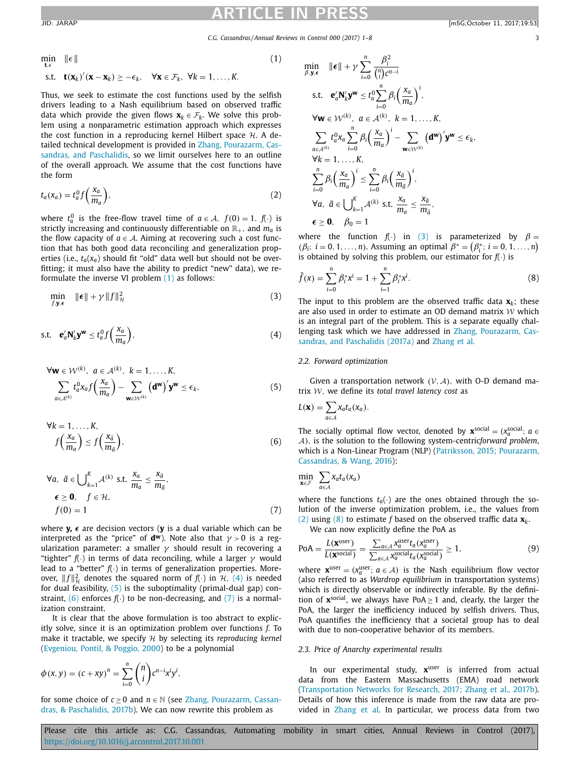$$
\min_{\mathbf{t}, \epsilon} \quad \|\epsilon\| \tag{1}
$$

$$
\text{s.t.} \quad \mathbf{t}(\mathbf{x}_k)'(\mathbf{x}-\mathbf{x}_k) \geq -\epsilon_k, \quad \forall \mathbf{x} \in \mathcal{F}_k, \ \forall k = 1, \ldots, K.
$$

Thus, we seek to estimate the cost functions used by the selfish drivers leading to a Nash equilibrium based on observed traffic data which provide the given flows  $\mathbf{x}_k \in \mathcal{F}_k$ . We solve this problem using a nonparametric estimation approach which expresses the cost function in a reproducing kernel Hilbert space  $H$ . A detailed technical [development](#page-7-0) is provided in Zhang, Pourazarm, Cassandras, and Paschalidis, so we limit ourselves here to an outline of the overall approach. We assume that the cost functions have the form

$$
t_a(x_a) = t_a^0 f\left(\frac{x_a}{m_a}\right),\tag{2}
$$

where  $t_a^0$  is the free-flow travel time of  $a \in A$ ,  $f(0) = 1$ ,  $f(\cdot)$  is strictly increasing and continuously differentiable on  $\mathbb{R}_+$ , and  $m_a$  is the flow capacity of  $a \in A$ . Aiming at recovering such a cost function that has both good data reconciling and generalization properties (i.e., *ta*(*xa*) should fit "old" data well but should not be overfitting; it must also have the ability to predict "new" data), we reformulate the inverse VI problem (1) as follows:

$$
\min_{f,\mathbf{y},\epsilon} \quad \|\boldsymbol{\epsilon}\| + \gamma \, \|f\|_{\mathcal{H}}^2 \tag{3}
$$

$$
\text{s.t.} \quad \mathbf{e}_a' \mathbf{N}_k' \mathbf{y}^{\mathbf{w}} \le t_a^0 f\left(\frac{x_a}{m_a}\right),\tag{4}
$$

$$
\forall \mathbf{w} \in \mathcal{W}^{(k)}, \ a \in \mathcal{A}^{(k)}, \ k = 1, ..., K,
$$

$$
\sum_{a \in \mathcal{A}^{(k)}} t_a^0 x_a f\left(\frac{x_a}{m_a}\right) - \sum_{\mathbf{w} \in \mathcal{W}^{(k)}} \left(\mathbf{d}^{\mathbf{w}}\right)' \mathbf{y}^{\mathbf{w}} \le \epsilon_k,
$$
(5)

$$
\forall k = 1, ..., K,f\left(\frac{x_a}{m_a}\right) \le f\left(\frac{x_{\tilde{a}}}{m_{\tilde{a}}}\right),
$$
(6)

$$
\forall a, \ \tilde{a} \in \bigcup_{k=1}^{K} \mathcal{A}^{(k)} \text{ s.t. } \frac{x_a}{m_a} \le \frac{x_{\tilde{a}}}{m_{\tilde{a}}},
$$

$$
\epsilon \ge 0, \quad f \in \mathcal{H},
$$

$$
f(0) = 1
$$
(7)

where **y,**  $\epsilon$  are decision vectors (**y** is a dual variable which can be interpreted as the "price" of **d<sup>w</sup>**). Note also that  $\gamma > 0$  is a regularization parameter: a smaller  $\gamma$  should result in recovering a "tighter"  $f(\cdot)$  in terms of data reconciling, while a larger  $\gamma$  would lead to a "better"  $f(\cdot)$  in terms of generalization properties. Moreover,  $\|f\|_{\mathcal{H}}^2$  denotes the squared norm of  $f(\cdot)$  in  $\mathcal{H}$ , (4) is needed for dual feasibility,  $(5)$  is the suboptimality (primal-dual gap) constraint,  $(6)$  enforces  $f(\cdot)$  to be non-decreasing, and  $(7)$  is a normalization constraint.

It is clear that the above formulation is too abstract to explicitly solve, since it is an optimization problem over functions *f*. To make it tractable, we specify H by selecting its *reproducing kernel* [\(Evgeniou,](#page-6-0) Pontil, & Poggio, 2000) to be a polynomial

$$
\phi(x,y) = (c+xy)^n = \sum_{i=0}^n \binom{n}{i} c^{n-i} x^i y^i,
$$

for some choice of  $c \ge 0$  and  $n \in \mathbb{N}$  (see Zhang, Pourazarm, Cassandras, & [Paschalidis,](#page-7-0) 2017b). We can now rewrite this problem as

$$
\begin{aligned}\n\min_{\beta, \mathbf{y}, \epsilon} & \quad \|\boldsymbol{\epsilon}\| + \gamma \sum_{i=0}^{n} \frac{\beta_i^2}{\binom{n}{i} c^{n-i}} \\
\text{s.t.} & \quad \mathbf{e}_a' \mathbf{N}_k' \mathbf{y}^{\mathbf{w}} \le t_a^0 \sum_{i=0}^{n} \beta_i \left(\frac{x_a}{m_a}\right)^i, \\
\forall \mathbf{w} \in \mathcal{W}^{(k)}, & \quad a \in \mathcal{A}^{(k)}, \quad k = 1, \dots, K, \\
&\sum_{a \in \mathcal{A}^{(k)}} t_a^0 x_a \sum_{i=0}^{n} \beta_i \left(\frac{x_a}{m_a}\right)^i - \sum_{\mathbf{w} \in \mathcal{W}^{(k)}} \left(\mathbf{d}^{\mathbf{w}}\right)' \mathbf{y}^{\mathbf{w}} \le \epsilon_k, \\
\forall k = 1, \dots, K, \\
&\sum_{i=0}^{n} \beta_i \left(\frac{x_a}{m_a}\right)^i \le \sum_{i=0}^{n} \beta_i \left(\frac{x_{\tilde{a}}}{m_{\tilde{a}}}\right)^i, \\
\forall a, & \quad \tilde{a} \in \bigcup_{k=1}^{K} \mathcal{A}^{(k)} \text{ s.t. } \frac{x_a}{m_a} \le \frac{x_{\tilde{a}}}{m_{\tilde{a}}}, \\
\epsilon \ge \mathbf{0}, & \quad \beta_0 = 1\n\end{aligned}
$$

where the function  $f(\cdot)$  in (3) is parameterized by  $\beta =$  $(\beta_i; i = 0, 1, ..., n)$ . Assuming an optimal  $\beta^* = (\beta_i^*; i = 0, 1, ..., n)$ is obtained by solving this problem, our estimator for  $f(\cdot)$  is

$$
\hat{f}(x) = \sum_{i=0}^{n} \beta_i^* x^i = 1 + \sum_{i=1}^{n} \beta_i^* x^i.
$$
 (8)

The input to this problem are the observed traffic data  $\mathbf{x}_k$ ; these are also used in order to estimate an OD demand matrix  $W$  which is an integral part of the problem. This is a separate equally challenging task which we have addressed in Zhang, [Pourazarm,](#page-7-0) Cassandras, and Paschalidis (2017a) and [Zhang](#page-7-0) et al.

#### *2.2. Forward optimization*

Given a transportation network  $(V, A)$ , with O-D demand matrix W, we define its *total travel latency cost* as

$$
L(\mathbf{x}) = \sum_{a \in \mathcal{A}} x_a t_a(x_a).
$$

The socially optimal flow vector, denoted by  $\mathbf{x}^{\text{social}} = (x^{\text{social}}_a; a \in \mathbb{R}^d)$ <sup>A</sup>), is the solution to the following system-centric*forward problem*, which is a Non-Linear Program (NLP) [\(Patriksson,](#page-6-0) 2015; Pourazarm, Cassandras, & Wang, 2016):

$$
\min_{\mathbf{x}\in\mathcal{F}}\ \sum_{a\in\mathcal{A}}x_a t_a(x_a)
$$

where the functions  $t_a(\cdot)$  are the ones obtained through the solution of the inverse optimization problem, i.e., the values from (2) using (8) to estimate *f* based on the observed traffic data  $\mathbf{x}_k$ .

We can now explicitly define the PoA as

PoA = 
$$
\frac{L(\mathbf{x}^{\text{user}})}{L(\mathbf{x}^{\text{social}})} = \frac{\sum_{a \in \mathcal{A}} x_a^{\text{user}} t_a(x_a^{\text{user}})}{\sum_{a \in \mathcal{A}} x_a^{\text{social}} t_a(x_a^{\text{social}})} \ge 1,
$$
 (9)

where  $\mathbf{x}^{\text{user}} = (x^{\text{user}}_a; a \in \mathcal{A})$  is the Nash equilibrium flow vector (also referred to as *Wardrop equilibrium* in transportation systems) which is directly observable or indirectly inferable. By the definition of  $\mathbf{x}^{\text{social}}$ , we always have PoA  $\geq$  1 and, clearly, the larger the PoA, the larger the inefficiency induced by selfish drivers. Thus, PoA quantifies the inefficiency that a societal group has to deal with due to non-cooperative behavior of its members.

#### *2.3. Price of Anarchy experimental results*

In our experimental study, **x**user is inferred from actual data from the Eastern Massachusetts (EMA) road network [\(Transportation](#page-6-0) Networks for Research, 2017; Zhang et al., 2017b). Details of how this inference is made from the raw data are provided in [Zhang](#page-7-0) et al. In particular, we process data from two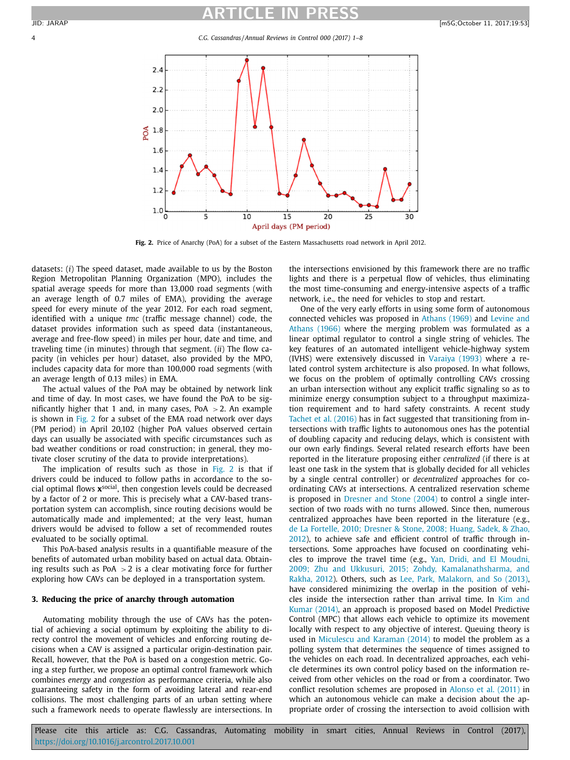<span id="page-3-0"></span>4 *C.G. Cassandras / Annual Reviews in Control 000 (2017) 1–8*



**Fig. 2.** Price of Anarchy (PoA) for a subset of the Eastern Massachusetts road network in April 2012.

datasets: (*i*) The speed dataset, made available to us by the Boston Region Metropolitan Planning Organization (MPO), includes the spatial average speeds for more than 13,000 road segments (with an average length of 0.7 miles of EMA), providing the average speed for every minute of the year 2012. For each road segment, identified with a unique *tmc* (traffic message channel) code, the dataset provides information such as speed data (instantaneous, average and free-flow speed) in miles per hour, date and time, and traveling time (in minutes) through that segment. (*ii*) The flow capacity (in vehicles per hour) dataset, also provided by the MPO, includes capacity data for more than 100,000 road segments (with an average length of 0.13 miles) in EMA.

The actual values of the PoA may be obtained by network link and time of day. In most cases, we have found the PoA to be significantly higher that 1 and, in many cases, PoA  $>$  2. An example is shown in Fig. 2 for a subset of the EMA road network over days (PM period) in April 20,102 (higher PoA values observed certain days can usually be associated with specific circumstances such as bad weather conditions or road construction; in general, they motivate closer scrutiny of the data to provide interpretations).

The implication of results such as those in Fig. 2 is that if drivers could be induced to follow paths in accordance to the social optimal flows **x**social, then congestion levels could be decreased by a factor of 2 or more. This is precisely what a CAV-based transportation system can accomplish, since routing decisions would be automatically made and implemented; at the very least, human drivers would be advised to follow a set of recommended routes evaluated to be socially optimal.

This PoA-based analysis results in a quantifiable measure of the benefits of automated urban mobility based on actual data. Obtaining results such as PoA  $>$  2 is a clear motivating force for further exploring how CAVs can be deployed in a transportation system.

#### **3. Reducing the price of anarchy through automation**

Automating mobility through the use of CAVs has the potential of achieving a social optimum by exploiting the ability to directy control the movement of vehicles and enforcing routing decisions when a CAV is assigned a particular origin-destination pair. Recall, however, that the PoA is based on a congestion metric. Going a step further, we propose an optimal control framework which combines *energy* and *congestion* as performance criteria, while also guaranteeing safety in the form of avoiding lateral and rear-end collisions. The most challenging parts of an urban setting where such a framework needs to operate flawlessly are intersections. In the intersections envisioned by this framework there are no traffic lights and there is a perpetual flow of vehicles, thus eliminating the most time-consuming and energy-intensive aspects of a traffic network, i.e., the need for vehicles to stop and restart.

One of the very early efforts in using some form of autonomous connected vehicles was proposed in [Athans](#page-6-0) (1969) and Levine and Athans (1966) where the merging problem was [formulated](#page-6-0) as a linear optimal regulator to control a single string of vehicles. The key features of an automated intelligent vehicle-highway system (IVHS) were extensively discussed in [Varaiya](#page-6-0) (1993) where a related control system architecture is also proposed. In what follows, we focus on the problem of optimally controlling CAVs crossing an urban intersection without any explicit traffic signaling so as to minimize energy consumption subject to a throughput maximization requirement and to hard safety constraints. A recent study [Tachet](#page-6-0) et al. (2016) has in fact suggested that transitioning from intersections with traffic lights to autonomous ones has the potential of doubling capacity and reducing delays, which is consistent with our own early findings. Several related research efforts have been reported in the literature proposing either *centralized* (if there is at least one task in the system that is globally decided for all vehicles by a single central controller) or *decentralized* approaches for coordinating CAVs at intersections. A centralized reservation scheme is proposed in [Dresner](#page-6-0) and Stone (2004) to control a single intersection of two roads with no turns allowed. Since then, numerous centralized approaches have been reported in the literature (e.g., de La Fortelle, 2010; Dresner & Stone, 2008; Huang, Sadek, & Zhao, 2012), to achieve safe and [efficient](#page-6-0) control of traffic through intersections. Some approaches have focused on coordinating vehicles to improve the travel time (e.g., Yan, Dridi, and El Moudni, 2009; Zhu and Ukkusuri, 2015; Zohdy, [Kamalanathsharma,](#page-7-0) and Rakha, 2012). Others, such as Lee, Park, [Malakorn,](#page-6-0) and So (2013), have considered minimizing the overlap in the position of vehicles inside the [intersection](#page-6-0) rather than arrival time. In Kim and Kumar (2014), an approach is proposed based on Model Predictive Control (MPC) that allows each vehicle to optimize its movement locally with respect to any objective of interest. Queuing theory is used in [Miculescu](#page-6-0) and Karaman (2014) to model the problem as a polling system that determines the sequence of times assigned to the vehicles on each road. In decentralized approaches, each vehicle determines its own control policy based on the information received from other vehicles on the road or from a coordinator. Two conflict resolution schemes are proposed in [Alonso](#page-6-0) et al. (2011) in which an autonomous vehicle can make a decision about the appropriate order of crossing the intersection to avoid collision with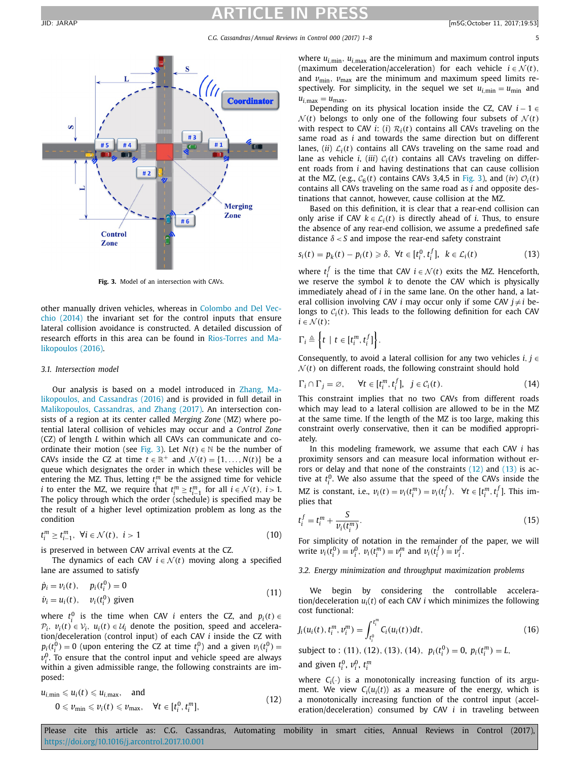

<span id="page-4-0"></span>

**Fig. 3.** Model of an intersection with CAVs.

other [manually](#page-6-0) driven vehicles, whereas in Colombo and Del Vecchio (2014) the invariant set for the control inputs that ensure lateral collision avoidance is constructed. A detailed discussion of research efforts in this area can be found in [Rios-Torres](#page-6-0) and Malikopoulos (2016).

#### *3.1. Intersection model*

Our analysis is based on a model introduced in Zhang, Malikopoulos, and [Cassandras](#page-7-0) (2016) and is provided in full detail in [Malikopoulos,](#page-6-0) Cassandras, and Zhang (2017). An intersection consists of a region at its center called *Merging Zone* (MZ) where potential lateral collision of vehicles may occur and a *Control Zone* (CZ) of length *L* within which all CAVs can communicate and coordinate their motion (see Fig. 3). Let  $N(t) \in \mathbb{N}$  be the number of CAVs inside the CZ at time  $t \in \mathbb{R}^+$  and  $\mathcal{N}(t) = \{1, \ldots, N(t)\}\)$  be a queue which designates the order in which these vehicles will be entering the MZ. Thus, letting  $t_i^m$  be the assigned time for vehicle *i* to enter the MZ, we require that  $t_i^m \geq t_{i-1}^m$  for all  $i \in \mathcal{N}(t)$ ,  $i > 1$ . The policy through which the order (schedule) is specified may be the result of a higher level optimization problem as long as the condition

$$
t_i^m \ge t_{i-1}^m, \ \forall i \in \mathcal{N}(t), \ i > 1 \tag{10}
$$

is preserved in between CAV arrival events at the CZ.

The dynamics of each CAV  $i \in \mathcal{N}(t)$  moving along a specified lane are assumed to satisfy

$$
\dot{p}_i = v_i(t), \quad p_i(t_i^0) = 0
$$
\n
$$
\dot{v}_i = u_i(t), \quad v_i(t_i^0) \text{ given}
$$
\n(11)

where  $t_i^0$  is the time when CAV *i* enters the CZ, and  $p_i(t) \in$  $P_i$ ,  $v_i(t) \in V_i$ ,  $u_i(t) \in U_i$  denote the position, speed and acceleration/deceleration (control input) of each CAV *i* inside the CZ with  $p_i(t_i^0) = 0$  (upon entering the CZ at time  $t_i^0$ ) and a given  $v_i(t_i^0) =$  $v_i^0$ . To ensure that the control input and vehicle speed are always within a given admissible range, the following constraints are imposed:

$$
u_{i,\min} \leq u_i(t) \leq u_{i,\max}, \quad \text{and}
$$
  
 
$$
0 \leq v_{\min} \leq v_i(t) \leq v_{\max}, \quad \forall t \in [t_i^0, t_i^m],
$$
 (12)

where  $u_{i,min}$ ,  $u_{i,max}$  are the minimum and maximum control inputs (maximum deceleration/acceleration) for each vehicle  $i \in \mathcal{N}(t)$ , and  $v_{\text{min}}$ ,  $v_{\text{max}}$  are the minimum and maximum speed limits respectively. For simplicity, in the sequel we set  $u_{i,min} = u_{min}$  and  $u_{i, \text{max}} = u_{\text{max}}.$ 

Depending on its physical location inside the CZ, CAV *i* − 1 ∈  $N(t)$  belongs to only one of the following four subsets of  $N(t)$ with respect to CAV *i*: (*i*)  $\mathcal{R}_i(t)$  contains all CAVs traveling on the same road as *i* and towards the same direction but on different lanes, (*ii*)  $\mathcal{L}_i(t)$  contains all CAVs traveling on the same road and lane as vehicle *i*, (*iii*)  $C_i(t)$  contains all CAVs traveling on different roads from *i* and having destinations that can cause collision at the MZ, (e.g.,  $C_6(t)$  contains CAVs 3,4,5 in Fig. 3), and (*iv*)  $\mathcal{O}_i(t)$ contains all CAVs traveling on the same road as *i* and opposite destinations that cannot, however, cause collision at the MZ.

Based on this definition, it is clear that a rear-end collision can only arise if CAV  $k \in \mathcal{L}_i(t)$  is directly ahead of *i*. Thus, to ensure the absence of any rear-end collision, we assume a predefined safe distance δ < *S* and impose the rear-end safety constraint

$$
s_i(t) = p_k(t) - p_i(t) \geq \delta, \ \forall t \in [t_i^0, t_i^f], \ \ k \in \mathcal{L}_i(t)
$$
 (13)

where  $t_i^f$  is the time that CAV  $i \in \mathcal{N}(t)$  exits the MZ. Henceforth, we reserve the symbol *k* to denote the CAV which is physically immediately ahead of *i* in the same lane. On the other hand, a lateral collision involving CAV *i* may occur only if some CAV  $j \neq i$  belongs to  $C_i(t)$ . This leads to the following definition for each CAV  $i \in \mathcal{N}(t)$ :

$$
\Gamma_i \triangleq \left\{ t \mid t \in [t_i^m, t_i^f] \right\}.
$$

Consequently, to avoid a lateral collision for any two vehicles  $i, j \in$  $N(t)$  on different roads, the following constraint should hold

$$
\Gamma_i \cap \Gamma_j = \varnothing, \qquad \forall t \in [t_i^m, t_i^f], \quad j \in \mathcal{C}_i(t). \tag{14}
$$

This constraint implies that no two CAVs from different roads which may lead to a lateral collision are allowed to be in the MZ at the same time. If the length of the MZ is too large, making this constraint overly conservative, then it can be modified appropriately.

In this modeling framework, we assume that each CAV *i* has proximity sensors and can measure local information without errors or delay and that none of the constraints (12) and (13) is active at  $t_i^0$ . We also assume that the speed of the CAVs inside the MZ is constant, i.e.,  $v_i(t) = v_i(t_i^m) = v_i(t_i^f)$ ,  $\forall t \in [t_i^m, t_i^f]$ . This implies that

$$
t_i^f = t_i^m + \frac{S}{\nu_i(t_i^m)}.\tag{15}
$$

For simplicity of notation in the remainder of the paper, we will write  $v_i(t_i^0) \equiv v_i^0$ ,  $v_i(t_i^m) \equiv v_i^m$  and  $v_i(t_i^f) \equiv v_i^f$ .

#### *3.2. Energy minimization and throughput maximization problems*

We begin by considering the controllable acceleration/deceleration *ui*(*t*) of each CAV *i* which minimizes the following cost functional:

$$
J_i(u_i(t), t_i^m, v_i^m) = \int_{t_i^0}^{t_i^m} C_i(u_i(t))dt,
$$
\n(16)

subject to : (11), (12), (13), (14),  $p_i(t_i^0) = 0$ ,  $p_i(t_i^m) = L$ , and given  $t_i^0$ ,  $v_i^0$ ,  $t_i^m$ 

where  $C_i(\cdot)$  is a monotonically increasing function of its argument. We view  $C_i(u_i(t))$  as a measure of the energy, which is a monotonically increasing function of the control input (acceleration/deceleration) consumed by CAV *i* in traveling between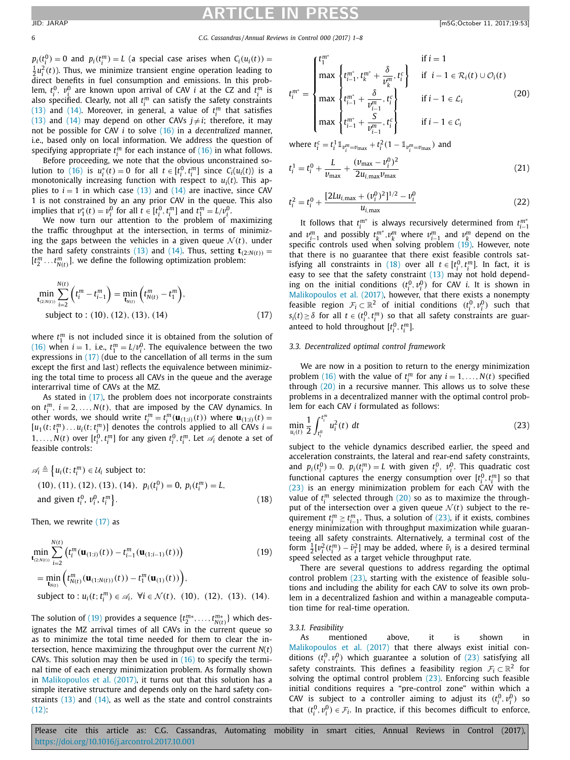<span id="page-5-0"></span> $p_i(t_i^0) = 0$  and  $p_i(t_i^m) = L$  (a special case arises when  $C_i(u_i(t)) =$  $\frac{1}{2}u_i^2(t)$ ). Thus, we minimize transient engine operation leading to direct benefits in fuel consumption and emissions. In this problem,  $t_i^0$ ,  $v_i^0$  are known upon arrival of CAV *i* at the CZ and  $t_i^m$  is also specified. Clearly, not all  $t_i^m$  can satisfy the safety constraints [\(13\)](#page-4-0) and [\(14\).](#page-4-0) Moreover, in general, a value of  $t_i^m$  that satisfies  $(13)$  and  $(14)$  may depend on other CAVs  $j \neq i$ ; therefore, it may not be possible for CAV *i* to solve [\(16\)](#page-4-0) in a *decentralized* manner, i.e., based only on local information. We address the question of specifying appropriate  $t_i^m$  for each instance of  $(16)$  in what follows.

Before proceeding, we note that the obvious unconstrained so-lution to [\(16\)](#page-4-0) is  $u_i^*(t) = 0$  for all  $t \in [t_i^0, t_i^m]$  since  $C_i(u_i(t))$  is a monotonically increasing function with respect to  $u_i(t)$ . This applies to  $i = 1$  in which case  $(13)$  and  $(14)$  are inactive, since CAV 1 is not constrained by an any prior CAV in the queue. This also implies that  $v_1^*(t) = v_i^0$  for all  $t \in [t_i^0, t_i^m]$  and  $t_1^m = L/v_i^0$ .

We now turn our attention to the problem of maximizing the traffic throughput at the intersection, in terms of minimizing the gaps between the vehicles in a given queue  $\mathcal{N}(t)$ , under the hard safety constraints [\(13\)](#page-4-0) and [\(14\).](#page-4-0) Thus, setting  $\mathbf{t}_{(2:N(t))} =$  $[t_2^m \dots t_{N(t)}^m]$ , we define the following optimization problem:

$$
\min_{\mathbf{t}_{(2:N(t))}} \sum_{i=2}^{N(t)} \left( t_i^m - t_{i-1}^m \right) = \min_{\mathbf{t}_{N(t)}} \left( t_{N(t)}^m - t_1^m \right),
$$
\nsubject to : (10), (12), (13), (14)

where  $t_1^m$  is not included since it is obtained from the solution of [\(16\)](#page-4-0) when  $i = 1$ , i.e.,  $t_1^m = L/v_i^0$ . The equivalence between the two expressions in  $(17)$  (due to the cancellation of all terms in the sum except the first and last) reflects the equivalence between minimizing the total time to process all CAVs in the queue and the average interarrival time of CAVs at the MZ.

As stated in  $(17)$ , the problem does not incorporate constraints on  $t_i^m$ ,  $i = 2, ..., N(t)$ , that are imposed by the CAV dynamics. In other words, we should write  $t_i^m = t_i^m(\mathbf{u}_{(1:i)}(t))$  where  $\mathbf{u}_{(1:i)}(t) =$  $[u_1(t; t_1^m) \dots u_i(t; t_i^m)]$  denotes the controls applied to all CAVs  $i =$ 1, ..., *N*(*t*) over [ $t_i^0$ ,  $t_i^m$ ] for any given  $t_i^0$ ,  $t_i^m$ . Let  $\mathcal{A}_i$  denote a set of feasible controls:

$$
\mathcal{A}_i \triangleq \left\{ u_i(t; t_i^m) \in \mathcal{U}_i \text{ subject to: } \right.
$$
  
(10), (11), (12), (13), (14),  $p_i(t_i^0) = 0$ ,  $p_i(t_i^m) = L$ ,  
and given  $t_i^0$ ,  $v_i^0$ ,  $t_i^m$  }. (18)

Then, we rewrite (17) as

$$
\min_{\mathbf{t}_{(2:N(t))}} \sum_{i=2}^{N(t)} \left( t_i^m(\mathbf{u}_{(1:i)}(t)) - t_{i-1}^m(\mathbf{u}_{(1:i-1)}(t)) \right)
$$
\n
$$
= \min_{\mathbf{t}_{N(t)}} \left( t_{N(t)}^m(\mathbf{u}_{(1:N(t))}(t)) - t_1^m(\mathbf{u}_{(1)}(t)) \right),
$$
\nsubject to :  $u_i(t; t_i^m) \in \mathcal{A}_i$ ,  $\forall i \in \mathcal{N}(t)$ , (10), (12), (13), (14).

The solution of (19) provides a sequence  $\{t_2^{m*}, \ldots, t_{N(t)}^{m*}\}$  which designates the MZ arrival times of all CAVs in the current queue so as to minimize the total time needed for them to clear the intersection, hence maximizing the throughput over the current *N*(*t*) CAVs. This solution may then be used in [\(16\)](#page-4-0) to specify the terminal time of each energy minimization problem. As formally shown in [Malikopoulos](#page-6-0) et al. (2017), it turns out that this solution has a simple iterative structure and depends only on the hard safety constraints  $(13)$  and  $(14)$ , as well as the state and control constraints [\(12\):](#page-4-0)

$$
t_i^{m^*} = \begin{cases} t_1^{m^*} & \text{if } i = 1\\ \max\left\{ t_{i-1}^{m^*}, t_k^{m^*} + \frac{\delta}{\nu_k^m}, t_i^c \right\} & \text{if } i - 1 \in \mathcal{R}_i(t) \cup \mathcal{O}_i(t) \\ \max\left\{ t_{i-1}^{m^*} + \frac{\delta}{\nu_{i-1}^m}, t_i^c \right\} & \text{if } i - 1 \in \mathcal{L}_i \\ \max\left\{ t_{i-1}^{m^*} + \frac{S}{\nu_{i-1}^m}, t_i^c \right\} & \text{if } i - 1 \in \mathcal{C}_i \end{cases}
$$
(20)

where  $t_i^c = t_i^1 \mathbb{1}_{\nu_i^m = \nu_{\text{max}}} + t_i^2 (1 - \mathbb{1}_{\nu_i^m = \nu_{\text{max}}})$  and

$$
t_i^1 = t_i^0 + \frac{L}{\nu_{\text{max}}} + \frac{(\nu_{\text{max}} - \nu_i^0)^2}{2u_{i,\text{max}}\nu_{\text{max}}}
$$
(21)

$$
t_i^2 = t_i^0 + \frac{[2Lu_{i,\text{max}} + (v_i^0)^2]^{1/2} - v_i^0}{u_{i,\text{max}}}
$$
(22)

It follows that  $t_i^{m^*}$  is always recursively determined from  $t_{i-1}^{m^*}$ and  $v_{i-1}^m$  and possibly  $t_k^m, v_k^m$  where  $v_{i-1}^m$  and  $v_k^m$  depend on the specific controls used when solving problem  $(19)$ . However, note that there is no guarantee that there exist feasible controls satisfying all constraints in (18) over all  $t \in [t_i^0, t_i^m]$ . In fact, it is easy to see that the safety constraint [\(13\)](#page-4-0) may not hold depending on the initial conditions  $(t_i^0, v_i^0)$  for CAV *i*. It is shown in [Malikopoulos](#page-6-0) et al. (2017), however, that there exists a nonempty feasible region  $\mathcal{F}_i \subset \mathbb{R}^2$  of initial conditions  $(t_i^0, v_i^0)$  such that  $s_i(t) \geq \delta$  for all  $t \in (t_i^0, t_i^m)$  so that all safety constraints are guaranteed to hold throughout  $[t_i^0, t_i^m]$ .

#### *3.3. Decentralized optimal control framework*

We are now in a position to return to the energy minimization problem [\(16\)](#page-4-0) with the value of  $t_i^m$  for any  $i = 1, ..., N(t)$  specified through (20) in a recursive manner. This allows us to solve these problems in a decentralized manner with the optimal control problem for each CAV *i* formulated as follows:

$$
\min_{u_i(t)} \frac{1}{2} \int_{t_i^0}^{t_i^m} u_i^2(t) \, dt \tag{23}
$$

subject to the vehicle dynamics described earlier, the speed and acceleration constraints, the lateral and rear-end safety constraints, and  $p_i(t_i^0) = 0$ ,  $p_i(t_i^m) = L$  with given  $t_i^0$ ,  $v_i^0$ . This quadratic cost functional captures the energy consumption over  $[t_i^0, t_i^m]$  so that (23) is an energy minimization problem for each CAV with the value of  $t_i^m$  selected through (20) so as to maximize the throughput of the intersection over a given queue  $\mathcal{N}(t)$  subject to the requirement  $t_i^m \geq t_{i-1}^m$ . Thus, a solution of (23), if it exists, combines energy minimization with throughput maximization while guaranteeing all safety constraints. Alternatively, a terminal cost of the form  $\frac{1}{2} [v_i^2(t_i^m) - \bar{v}_i^2]$  may be added, where  $\bar{v}_i$  is a desired terminal speed selected as a target vehicle throughput rate.

There are several questions to address regarding the optimal control problem (23), starting with the existence of feasible solutions and including the ability for each CAV to solve its own problem in a decentralized fashion and within a manageable computation time for real-time operation.

#### *3.3.1. Feasibility*

As mentioned above, it is shown in [Malikopoulos](#page-6-0) et al. (2017) that there always exist initial conditions  $(t_i^0, v_i^0)$  which guarantee a solution of (23) satisfying all safety constraints. This defines a feasibility region  $\mathcal{F}_i \subset \mathbb{R}^2$  for solving the optimal control problem (23). Enforcing such feasible initial conditions requires a "pre-control zone" within which a CAV is subject to a controller aiming to adjust its  $(t_i^0, v_i^0)$  so that  $(t_i^0, v_i^0) \in \mathcal{F}_i$ . In practice, if this becomes difficult to enforce,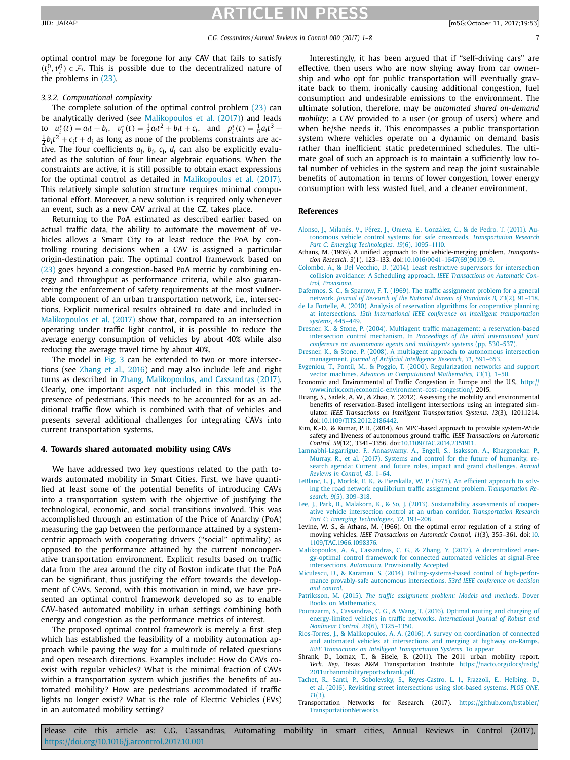<span id="page-6-0"></span>optimal control may be foregone for any CAV that fails to satisfy  $(t_i^0, v_i^0) \in \mathcal{F}_i$ . This is possible due to the decentralized nature of the problems in [\(23\).](#page-5-0)

#### *3.3.2. Computational complexity*

The complete solution of the optimal control problem  $(23)$  can be analytically derived (see Malikopoulos et al. (2017)) and leads to  $u_i^*(t) = a_i t + b_i$ ,  $v_i^*(t) = \frac{1}{2} a_i t^2 + b_i t + c_i$ , and  $p_i^*(t) = \frac{1}{6} a_i t^3 + c_i$  $\frac{1}{2}b_i t^2 + c_i t + d_i$  as long as none of the problems constraints are active. The four coefficients  $a_i$ ,  $b_i$ ,  $c_i$ ,  $d_i$  can also be explicitly evaluated as the solution of four linear algebraic equations. When the constraints are active, it is still possible to obtain exact expressions for the optimal control as detailed in Malikopoulos et al. (2017). This relatively simple solution structure requires minimal computational effort. Moreover, a new solution is required only whenever an event, such as a new CAV arrival at the CZ, takes place.

Returning to the PoA estimated as described earlier based on actual traffic data, the ability to automate the movement of vehicles allows a Smart City to at least reduce the PoA by controlling routing decisions when a CAV is assigned a particular origin-destination pair. The optimal control framework based on [\(23\)](#page-5-0) goes beyond a congestion-based PoA metric by combining energy and throughput as performance criteria, while also guaranteeing the enforcement of safety requirements at the most vulnerable component of an urban transportation network, i.e., intersections. Explicit numerical results obtained to date and included in Malikopoulos et al. (2017) show that, compared to an intersection operating under traffic light control, it is possible to reduce the average energy consumption of vehicles by about 40% while also reducing the average travel time by about 40%.

The model in [Fig.](#page-4-0) 3 can be extended to two or more intersections (see [Zhang](#page-7-0) et al., 2016) and may also include left and right turns as described in Zhang, [Malikopoulos,](#page-7-0) and Cassandras (2017). Clearly, one important aspect not included in this model is the presence of pedestrians. This needs to be accounted for as an additional traffic flow which is combined with that of vehicles and presents several additional challenges for integrating CAVs into current transportation systems.

#### **4. Towards shared automated mobility using CAVs**

We have addressed two key questions related to the path towards automated mobility in Smart Cities. First, we have quantified at least some of the potential benefits of introducing CAVs into a transportation system with the objective of justifying the technological, economic, and social transitions involved. This was accomplished through an estimation of the Price of Anarchy (PoA) measuring the gap between the performance attained by a systemcentric approach with cooperating drivers ("social" optimality) as opposed to the performance attained by the current noncooperative transportation environment. Explicit results based on traffic data from the area around the city of Boston indicate that the PoA can be significant, thus justifying the effort towards the development of CAVs. Second, with this motivation in mind, we have presented an optimal control framework developed so as to enable CAV-based automated mobility in urban settings combining both energy and congestion as the performance metrics of interest.

The proposed optimal control framework is merely a first step which has established the feasibility of a mobility automation approach while paving the way for a multitude of related questions and open research directions. Examples include: How do CAVs coexist with regular vehicles? What is the minimal fraction of CAVs within a transportation system which justifies the benefits of automated mobility? How are pedestrians accommodated if traffic lights no longer exist? What is the role of Electric Vehicles (EVs) in an automated mobility setting?

Interestingly, it has been argued that if "self-driving cars" are effective, then users who are now shying away from car ownership and who opt for public transportation will eventually gravitate back to them, ironically causing additional congestion, fuel consumption and undesirable emissions to the environment. The ultimate solution, therefore, may be *automated shared on-demand mobility*: a CAV provided to a user (or group of users) where and when he/she needs it. This encompasses a public transportation system where vehicles operate on a dynamic on demand basis rather than inefficient static predetermined schedules. The ultimate goal of such an approach is to maintain a sufficiently low total number of vehicles in the system and reap the joint sustainable benefits of automation in terms of lower congestion, lower energy consumption with less wasted fuel, and a cleaner environment.

#### **References**

- [Alonso,](http://refhub.elsevier.com/S1367-5788(17)30128-1/sbref0001) J., [Milanés,](http://refhub.elsevier.com/S1367-5788(17)30128-1/sbref0001) V., [Pérez,](http://refhub.elsevier.com/S1367-5788(17)30128-1/sbref0001) J., [Onieva,](http://refhub.elsevier.com/S1367-5788(17)30128-1/sbref0001) E., [González,](http://refhub.elsevier.com/S1367-5788(17)30128-1/sbref0001) C., [&](http://refhub.elsevier.com/S1367-5788(17)30128-1/sbref0001) de [Pedro,](http://refhub.elsevier.com/S1367-5788(17)30128-1/sbref0001) T. (2011). Autonomous vehicle control systems for safe crossroads. *[Transportation](http://refhub.elsevier.com/S1367-5788(17)30128-1/sbref0001) Research Part C: Emerging Technologies, 19*(6), 1095–1110.
- Athans, M. (1969). A unified approach to the vehicle-merging problem. *Transportation Research, 3*(1), 123–133. doi[:10.1016/0041-1647\(69\)90109-9.](https://doi.org/10.1016/0041-1647(69)90109-9)
- [Colombo,](http://refhub.elsevier.com/S1367-5788(17)30128-1/sbref0003) A., [&](http://refhub.elsevier.com/S1367-5788(17)30128-1/sbref0003) Del [Vecchio,](http://refhub.elsevier.com/S1367-5788(17)30128-1/sbref0003) D. (2014). Least restrictive supervisors for intersection collision avoidance: A Scheduling approach. *IEEE [Transactions](http://refhub.elsevier.com/S1367-5788(17)30128-1/sbref0003) on Automatic Control, Provisiona*.
- [Dafermos,](http://refhub.elsevier.com/S1367-5788(17)30128-1/sbref0004) S. C., [&](http://refhub.elsevier.com/S1367-5788(17)30128-1/sbref0004) [Sparrow,](http://refhub.elsevier.com/S1367-5788(17)30128-1/sbref0004) F. T. (1969). The traffic [assignment](http://refhub.elsevier.com/S1367-5788(17)30128-1/sbref0004) problem for a general network. *Journal of Research of the National Bureau of Standards B, 73*(2), 91–118.
- de La [Fortelle,](http://refhub.elsevier.com/S1367-5788(17)30128-1/sbref0005) A. (2010). Analysis of [reservation algorithms](http://refhub.elsevier.com/S1367-5788(17)30128-1/sbref0005) for cooperative planning at intersections. *13th International IEEE conference on intelligent transportation systems*, 445–449.
- [Dresner,](http://refhub.elsevier.com/S1367-5788(17)30128-1/sbref0006) K., [&](http://refhub.elsevier.com/S1367-5788(17)30128-1/sbref0006) [Stone,](http://refhub.elsevier.com/S1367-5788(17)30128-1/sbref0006) P. (2004). Multiagent traffic management: a [reservation-based](http://refhub.elsevier.com/S1367-5788(17)30128-1/sbref0006) intersection control mechanism. In *Proceedings of the third international joint conference on autonomous agents and multiagents systems* (pp. 530–537).
- [Dresner,](http://refhub.elsevier.com/S1367-5788(17)30128-1/sbref0007) K., [&](http://refhub.elsevier.com/S1367-5788(17)30128-1/sbref0007) [Stone,](http://refhub.elsevier.com/S1367-5788(17)30128-1/sbref0007) P. (2008). A multiagent approach to autonomous intersection [management.](http://refhub.elsevier.com/S1367-5788(17)30128-1/sbref0007) *Journal of Artificial Intelligence Research, 31*, 591–653.
- [Evgeniou,](http://refhub.elsevier.com/S1367-5788(17)30128-1/sbref0008) T., [Pontil,](http://refhub.elsevier.com/S1367-5788(17)30128-1/sbref0008) M., [&](http://refhub.elsevier.com/S1367-5788(17)30128-1/sbref0008) [Poggio,](http://refhub.elsevier.com/S1367-5788(17)30128-1/sbref0008) T. (2000). [Regularization](http://refhub.elsevier.com/S1367-5788(17)30128-1/sbref0008) networks and support vector machines. *Advances in Computational Mathematics, 13*(1), 1–50.
- Economic and Environmental of Traffic Congestion in Europe and the U.S., http:// [www.inrix.com/economic-environment-cost-congestion/,](http://www.inrix.com/economic-environment-cost-congestion/) 2015.
- Huang, S., Sadek, A. W., & Zhao, Y. (2012). Assessing the mobility and environmental benefits of reservation-Based intelligent intersections using an integrated simulator. *IEEE Transactions on Intelligent Transportation Systems, 13*(3), 1201,1214. doi[:10.1109/TITS.2012.2186442.](https://doi.org/10.1109/TITS.2012.2186442)
- Kim, K.-D., & Kumar, P. R. (2014). An MPC-based approach to provable system-Wide safety and liveness of autonomous ground traffic. *IEEE Transactions on Automatic Control, 59*(12), 3341–3356. doi[:10.1109/TAC.2014.2351911.](https://doi.org/10.1109/TAC.2014.2351911)
- [Lamnabhi-Lagarrigue,](http://refhub.elsevier.com/S1367-5788(17)30128-1/sbref0011) F., [Annaswamy,](http://refhub.elsevier.com/S1367-5788(17)30128-1/sbref0011) A., [Engell,](http://refhub.elsevier.com/S1367-5788(17)30128-1/sbref0011) S., [Isaksson,](http://refhub.elsevier.com/S1367-5788(17)30128-1/sbref0011) A., [Khargonekar,](http://refhub.elsevier.com/S1367-5788(17)30128-1/sbref0011) P., [Murray,](http://refhub.elsevier.com/S1367-5788(17)30128-1/sbref0011) R., et [al.](http://refhub.elsevier.com/S1367-5788(17)30128-1/sbref0011) (2017). Systems and control for the future of humanity, research agenda: Current and future roles, impact and grand [challenges.](http://refhub.elsevier.com/S1367-5788(17)30128-1/sbref0011) *Annual Reviews in Control, 43*, 1–64.
- [LeBlanc,](http://refhub.elsevier.com/S1367-5788(17)30128-1/sbref0012) L. J., [Morlok,](http://refhub.elsevier.com/S1367-5788(17)30128-1/sbref0012) E. K., [&](http://refhub.elsevier.com/S1367-5788(17)30128-1/sbref0012) [Pierskalla,](http://refhub.elsevier.com/S1367-5788(17)30128-1/sbref0012) W. P. (1975). An efficient approach to solving the road network equilibrium traffic assignment problem. *[Transportation](http://refhub.elsevier.com/S1367-5788(17)30128-1/sbref0012) Research, 9*(5), 309–318.
- [Lee,](http://refhub.elsevier.com/S1367-5788(17)30128-1/sbref0013) J., [Park,](http://refhub.elsevier.com/S1367-5788(17)30128-1/sbref0013) B., [Malakorn,](http://refhub.elsevier.com/S1367-5788(17)30128-1/sbref0013) K., [&](http://refhub.elsevier.com/S1367-5788(17)30128-1/sbref0013) [So,](http://refhub.elsevier.com/S1367-5788(17)30128-1/sbref0013) J. (2013). Sustainability assessments of cooperative vehicle intersection control at an urban corridor. *[Transportation](http://refhub.elsevier.com/S1367-5788(17)30128-1/sbref0013) Research Part C: Emerging Technologies, 32*, 193–206.
- Levine, W. S., & Athans, M. (1966). On the optimal error regulation of a string of moving vehicles. *IEEE Transactions on Automatic Control, 11*(3), 355–361. doi:10. [1109/TAC.1966.1098376.](https://doi.org/10.1109/TAC.1966.1098376)
- [Malikopoulos,](http://refhub.elsevier.com/S1367-5788(17)30128-1/sbref0015) A. A., [Cassandras,](http://refhub.elsevier.com/S1367-5788(17)30128-1/sbref0015) C. G., [&](http://refhub.elsevier.com/S1367-5788(17)30128-1/sbref0015) [Zhang,](http://refhub.elsevier.com/S1367-5788(17)30128-1/sbref0015) Y. (2017). A [decentralized](http://refhub.elsevier.com/S1367-5788(17)30128-1/sbref0015) energy-optimal control framework for connected automated vehicles at signal-Free intersections. *Automatica*. [Provisionally](http://refhub.elsevier.com/S1367-5788(17)30128-1/sbref0015) Accepted
- [Miculescu,](http://refhub.elsevier.com/S1367-5788(17)30128-1/sbref0016) D., [&](http://refhub.elsevier.com/S1367-5788(17)30128-1/sbref0016) [Karaman,](http://refhub.elsevier.com/S1367-5788(17)30128-1/sbref0016) S. (2014). [Polling-systems-based](http://refhub.elsevier.com/S1367-5788(17)30128-1/sbref0016) control of high-performance provably-safe autonomous intersections. *53rd IEEE conference on decision and control*.
- [Patriksson,](http://refhub.elsevier.com/S1367-5788(17)30128-1/sbref0017) M. (2015). *The traffic assignment problem: Models and methods*. Dover Books on [Mathematics.](http://refhub.elsevier.com/S1367-5788(17)30128-1/sbref0017)
- [Pourazarm,](http://refhub.elsevier.com/S1367-5788(17)30128-1/sbref0018) S., [Cassandras,](http://refhub.elsevier.com/S1367-5788(17)30128-1/sbref0018) C. G., [&](http://refhub.elsevier.com/S1367-5788(17)30128-1/sbref0018) [Wang,](http://refhub.elsevier.com/S1367-5788(17)30128-1/sbref0018) T. (2016). Optimal routing and charging of [energy-limited](http://refhub.elsevier.com/S1367-5788(17)30128-1/sbref0018) vehicles in traffic networks. *International Journal of Robust and Nonlinear Control, 26*(6), 1325–1350.
- [Rios-Torres,](http://refhub.elsevier.com/S1367-5788(17)30128-1/sbref0019) J., [&](http://refhub.elsevier.com/S1367-5788(17)30128-1/sbref0019) [Malikopoulos,](http://refhub.elsevier.com/S1367-5788(17)30128-1/sbref0019) A. A. (2016). A survey on coordination of connected and automated vehicles at intersections and merging at highway on-Ramps. *IEEE Transactions on Intelligent [Transportation](http://refhub.elsevier.com/S1367-5788(17)30128-1/sbref0019) Systems*. To [appear](http://refhub.elsevier.com/S1367-5788(17)30128-1/sbref0019)
- Shrank, D., Lomax, T., & Eisele, B. (2011). The 2011 urban mobility report. *Tech. Rep*. Texas A&M Transportation Institute https://nacto.org/docs/usdg/ [2011urbanmobilityreportschrank.pdf.](https://nacto.org/docs/usdg/2011urbanmobilityreportschrank.pdf)
- [Tachet,](http://refhub.elsevier.com/S1367-5788(17)30128-1/sbref0021) R., [Santi,](http://refhub.elsevier.com/S1367-5788(17)30128-1/sbref0021) P., [Sobolevsky,](http://refhub.elsevier.com/S1367-5788(17)30128-1/sbref0021) S., [Reyes-Castro,](http://refhub.elsevier.com/S1367-5788(17)30128-1/sbref0021) L. I., [Frazzoli,](http://refhub.elsevier.com/S1367-5788(17)30128-1/sbref0021) E., [Helbing,](http://refhub.elsevier.com/S1367-5788(17)30128-1/sbref0021) D., et [al.](http://refhub.elsevier.com/S1367-5788(17)30128-1/sbref0021) (2016). Revisiting street [intersections](http://refhub.elsevier.com/S1367-5788(17)30128-1/sbref0021) using slot-based systems. *PLOS ONE, 11*(3).
- Transportation Networks for Research. (2017). [https://github.com/bstabler/](https://github.com/bstabler/TransportationNetworks) TransportationNetworks.